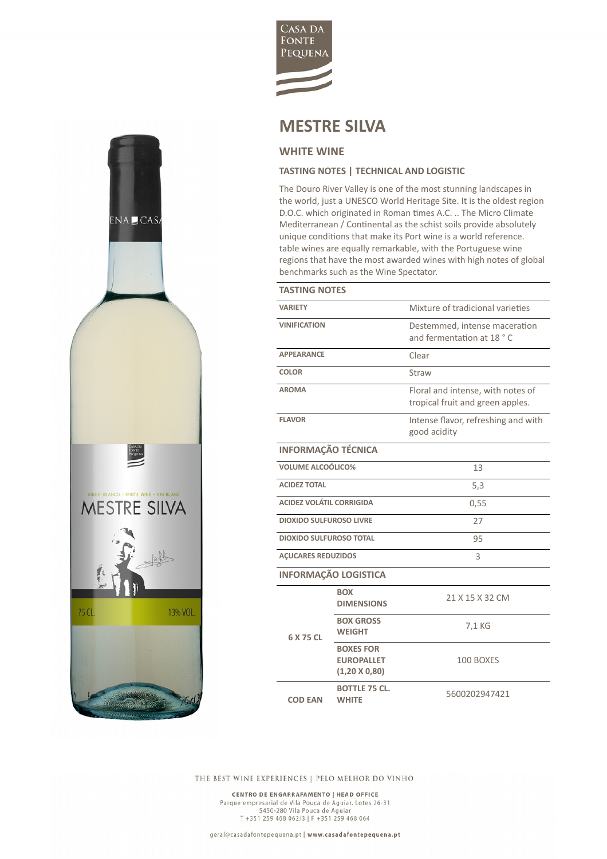

## **MESTRE SILVA**

## **WHITE WINE**

ENA CAS

CASA DA<br>FONTE<br>PIQUENA

**MESTRE SILVA** 

Garaja (K

13% VOL.

75 CL

## **TASTING NOTES | TECHNICAL AND LOGISTIC**

The Douro River Valley is one of the most stunning landscapes in the world, just a UNESCO World Heritage Site. It is the oldest region D.O.C. which originated in Roman times A.C. .. The Micro Climate Mediterranean / Continental as the schist soils provide absolutely unique conditions that make its Port wine is a world reference. table wines are equally remarkable, with the Portuguese wine regions that have the most awarded wines with high notes of global benchmarks such as the Wine Spectator.

| <b>TASTING NOTES</b>            |                                                               |                                                                       |  |
|---------------------------------|---------------------------------------------------------------|-----------------------------------------------------------------------|--|
| <b>VARIFTY</b>                  |                                                               | Mixture of tradicional varieties                                      |  |
| <b>VINIFICATION</b>             |                                                               | Destemmed, intense maceration<br>and fermentation at 18 °C            |  |
| <b>APPEARANCE</b>               |                                                               | Clear                                                                 |  |
| <b>COLOR</b>                    |                                                               | Straw                                                                 |  |
| <b>AROMA</b>                    |                                                               | Floral and intense, with notes of<br>tropical fruit and green apples. |  |
| <b>FLAVOR</b>                   |                                                               | Intense flavor, refreshing and with<br>good acidity                   |  |
| <b>INFORMAÇÃO TÉCNICA</b>       |                                                               |                                                                       |  |
| <b>VOLUME ALCOÓLICO%</b>        |                                                               | 13                                                                    |  |
| <b>ACIDEZ TOTAL</b>             |                                                               | 5,3                                                                   |  |
| <b>ACIDEZ VOLÁTIL CORRIGIDA</b> |                                                               | 0,55                                                                  |  |
| <b>DIOXIDO SULFUROSO LIVRE</b>  |                                                               | 27                                                                    |  |
| <b>DIOXIDO SULFUROSO TOTAL</b>  |                                                               | 95                                                                    |  |
| <b>AÇUCARES REDUZIDOS</b>       |                                                               | 3                                                                     |  |
| <b>INFORMAÇÃO LOGISTICA</b>     |                                                               |                                                                       |  |
| 6 X 75 CL                       | <b>BOX</b><br><b>DIMENSIONS</b>                               | 21 X 15 X 32 CM                                                       |  |
|                                 | <b>BOX GROSS</b><br><b>WEIGHT</b>                             | 7,1 KG                                                                |  |
|                                 | <b>BOXES FOR</b><br><b>EUROPALLET</b><br>$(1,20 \times 0,80)$ | 100 BOXES                                                             |  |
| <b>COD EAN</b>                  | <b>BOTTLE 75 CL.</b><br><b>WHITE</b>                          | 5600202947421                                                         |  |

THE BEST WINE EXPERIENCES | PELO MELHOR DO VINHO

CENTRO DE ENGARRAFAMENTO | HEAD OFFICE Parque empresarial de Vila Pouca de Aguiar, Lotes 26-31<br>5450-280 Vila Pouca de Aguiar<br>T +351 259 468 062/3 | F +351 259 468 064